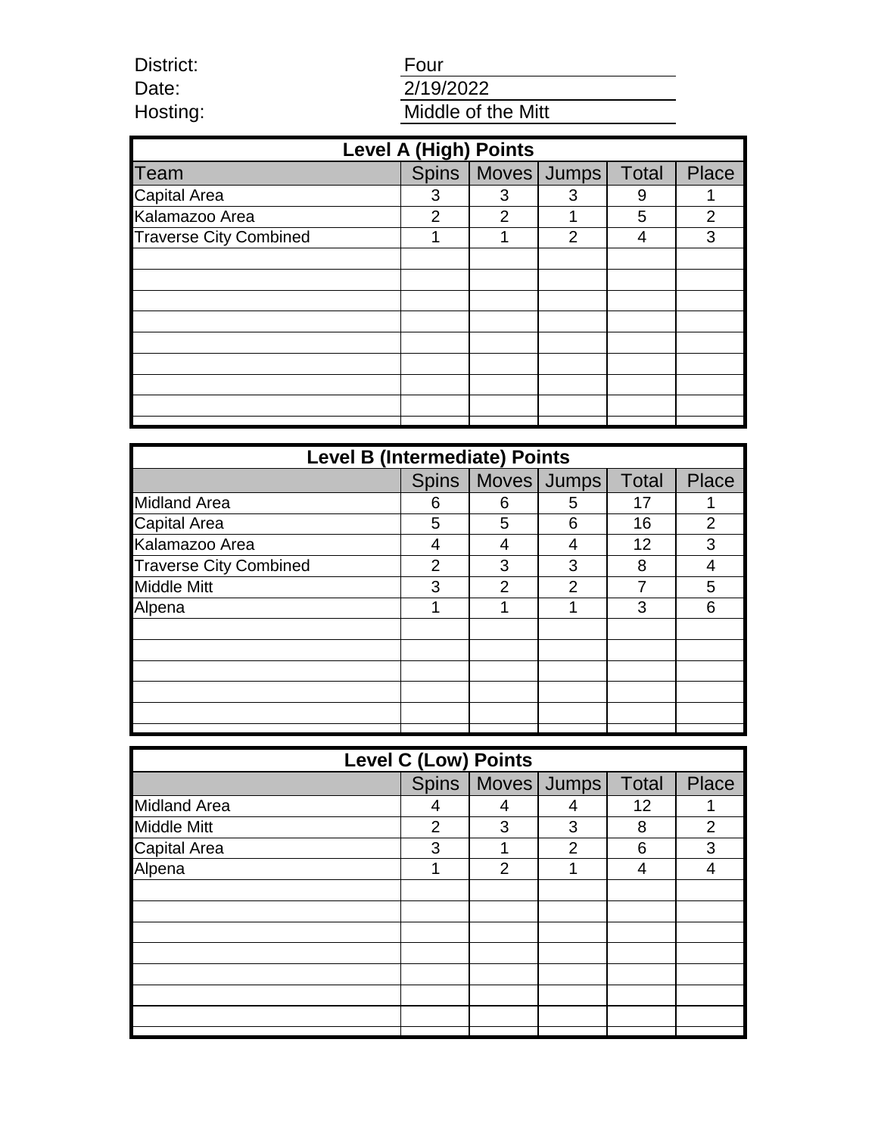Date: Hosting:

District:

# Four 2/19/2022 Middle of the Mitt

| <b>Level A (High) Points</b>  |              |   |                |              |       |  |  |  |
|-------------------------------|--------------|---|----------------|--------------|-------|--|--|--|
| <b>Team</b>                   | <b>Spins</b> |   | Moves Jumps    | <b>Total</b> | Place |  |  |  |
| <b>Capital Area</b>           | 3            | 3 | 3              | 9            |       |  |  |  |
| Kalamazoo Area                | 2            | 2 |                | 5            | 2     |  |  |  |
| <b>Traverse City Combined</b> |              |   | $\overline{2}$ | 4            | 3     |  |  |  |
|                               |              |   |                |              |       |  |  |  |
|                               |              |   |                |              |       |  |  |  |
|                               |              |   |                |              |       |  |  |  |
|                               |              |   |                |              |       |  |  |  |
|                               |              |   |                |              |       |  |  |  |
|                               |              |   |                |              |       |  |  |  |
|                               |              |   |                |              |       |  |  |  |
|                               |              |   |                |              |       |  |  |  |
|                               |              |   |                |              |       |  |  |  |

| <b>Level B (Intermediate) Points</b> |              |                |               |       |                |  |  |
|--------------------------------------|--------------|----------------|---------------|-------|----------------|--|--|
|                                      | <b>Spins</b> |                | Moves Jumps   | Total | Place          |  |  |
| <b>Midland Area</b>                  | 6            | 6              | 5             | 17    |                |  |  |
| <b>Capital Area</b>                  | 5            | 5              | 6             | 16    | $\overline{2}$ |  |  |
| Kalamazoo Area                       | 4            | 4              |               | 12    | 3              |  |  |
| <b>Traverse City Combined</b>        | 2            | 3              | 3             | 8     |                |  |  |
| <b>Middle Mitt</b>                   | 3            | $\overline{2}$ | $\mathcal{P}$ | 7     | 5              |  |  |
| Alpena                               |              |                |               | 3     | 6              |  |  |
|                                      |              |                |               |       |                |  |  |
|                                      |              |                |               |       |                |  |  |
|                                      |              |                |               |       |                |  |  |
|                                      |              |                |               |       |                |  |  |
|                                      |              |                |               |       |                |  |  |
|                                      |              |                |               |       |                |  |  |

| <b>Level C (Low) Points</b> |                |   |                       |              |       |  |  |
|-----------------------------|----------------|---|-----------------------|--------------|-------|--|--|
|                             |                |   | Spins   Moves   Jumps | <b>Total</b> | Place |  |  |
| <b>Midland Area</b>         |                | 4 |                       | 12           |       |  |  |
| <b>Middle Mitt</b>          | $\overline{2}$ | 3 | 3                     | 8            | 2     |  |  |
| <b>Capital Area</b>         | 3              |   | 2                     | 6            | 3     |  |  |
| Alpena                      |                | 2 |                       | 4            |       |  |  |
|                             |                |   |                       |              |       |  |  |
|                             |                |   |                       |              |       |  |  |
|                             |                |   |                       |              |       |  |  |
|                             |                |   |                       |              |       |  |  |
|                             |                |   |                       |              |       |  |  |
|                             |                |   |                       |              |       |  |  |
|                             |                |   |                       |              |       |  |  |
|                             |                |   |                       |              |       |  |  |